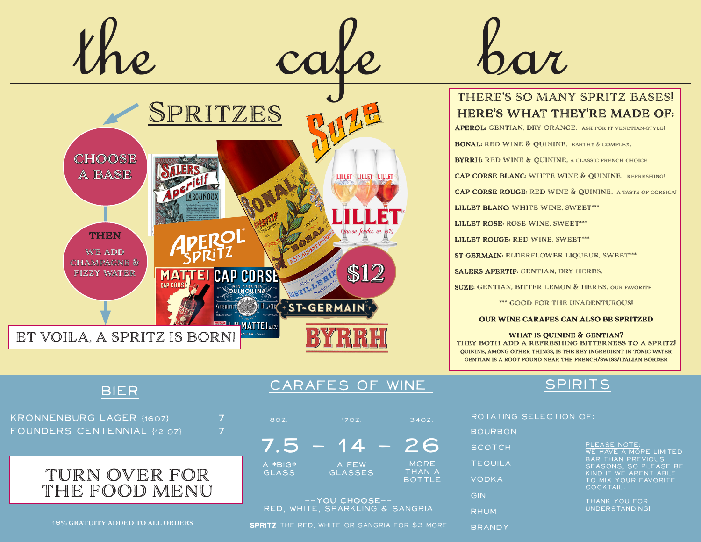

#### there's so many spritz bases! here's what they're made of:

APEROL: GENTIAN, DRY ORANGE. ASK FOR IT VENETIAN-STYLE!

**BONAL:** RED WINE & OUININE. EARTHY & COMPLEX.

**BYRRH:** RED WINE & QUININE, A CLASSIC FRENCH CHOICE

cap corse blanc: white wine & quinine. refreshing!

cap corse rouge: red wine & quinine. a taste of corsica!

LILLET BLANC: WHITE WINE, SWEET\*\*\*

LILLET ROSE: ROSE WINE, SWEET\*\*\*

LILLET ROUGE: RED WINE, SWEET\*\*\*

st germain: elderflower liqueur, sweet\*\*\*

salers apertif: gentian, dry herbs.

suze: gentian, bitter lemon & herbs. our favorite.

\*\*\* good for the unadenturous!

OUR WINE CARAFES CAN ALSO BE SPRITZED

WHAT IS QUININE & GENTIAN? they both add a refreshing bitterness to a spritz! quinine, among other things, is the key ingredient in tonic water gentian is a root found near the french/swiss/italian border

### BIER

KRONNENBURG LAGER {160Z} 7 FOUNDERS CENTENNIAL {12 0Z} 7



## CARAFES OF WINE SPIRITS

| 80Z.                    | 170Z.                   | 340Z.                                  |
|-------------------------|-------------------------|----------------------------------------|
|                         | 4 70                    |                                        |
| A *BIG*<br><b>GLASS</b> | A FEW<br><b>GLASSES</b> | <b>MORE</b><br>THAN A<br><b>BOTTLE</b> |

--YOU CHOOSE-- RED, WHITE, SPARKLING & SANGRIA

18% GRATUITY ADDED TO ALL ORDERS SPRITZ THE RED, WHITE OR SANGRIA FOR \$3 MORE

#### rotating selection of:

 $BOU$ sco TEC **VOD** gin RHU

**BRANDY** 

| <b>RBON</b> |                                                            |
|-------------|------------------------------------------------------------|
| TCH         | PLEASE NOTE:<br>WE HAVE A MORE LIMITED                     |
| <b>UILA</b> | <b>BAR THAN PREVIOUS</b><br>SEASONS, SO PLEASE BE          |
| <b>KA</b>   | KIND IF WE ARENT ABLE<br>TO MIX YOUR FAVORITE<br>COCKTAIL. |
| M           | THANK YOU FOR<br>UNDERSTANDING!                            |